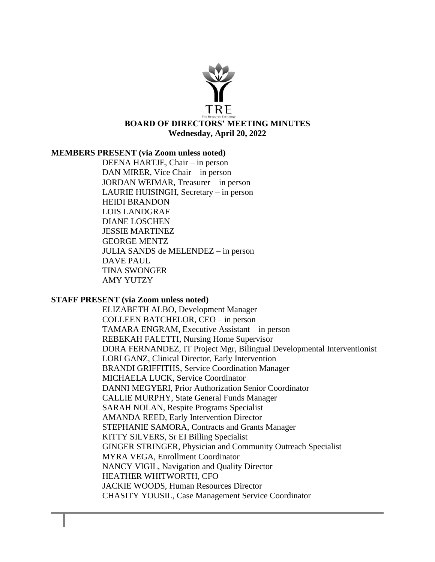

#### **MEMBERS PRESENT (via Zoom unless noted)**

DEENA HARTJE, Chair – in person DAN MIRER, Vice Chair – in person JORDAN WEIMAR, Treasurer – in person LAURIE HUISINGH, Secretary – in person HEIDI BRANDON LOIS LANDGRAF DIANE LOSCHEN JESSIE MARTINEZ GEORGE MENTZ JULIA SANDS de MELENDEZ – in person DAVE PAUL TINA SWONGER AMY YUTZY

#### **STAFF PRESENT (via Zoom unless noted)**

ELIZABETH ALBO, Development Manager COLLEEN BATCHELOR, CEO – in person TAMARA ENGRAM, Executive Assistant – in person REBEKAH FALETTI, Nursing Home Supervisor DORA FERNANDEZ, IT Project Mgr, Bilingual Developmental Interventionist LORI GANZ, Clinical Director, Early Intervention BRANDI GRIFFITHS, Service Coordination Manager MICHAELA LUCK, Service Coordinator DANNI MEGYERI, Prior Authorization Senior Coordinator CALLIE MURPHY, State General Funds Manager SARAH NOLAN, Respite Programs Specialist AMANDA REED, Early Intervention Director STEPHANIE SAMORA, Contracts and Grants Manager KITTY SILVERS, Sr EI Billing Specialist GINGER STRINGER, Physician and Community Outreach Specialist MYRA VEGA, Enrollment Coordinator NANCY VIGIL, Navigation and Quality Director HEATHER WHITWORTH, CFO JACKIE WOODS, Human Resources Director CHASITY YOUSIL, Case Management Service Coordinator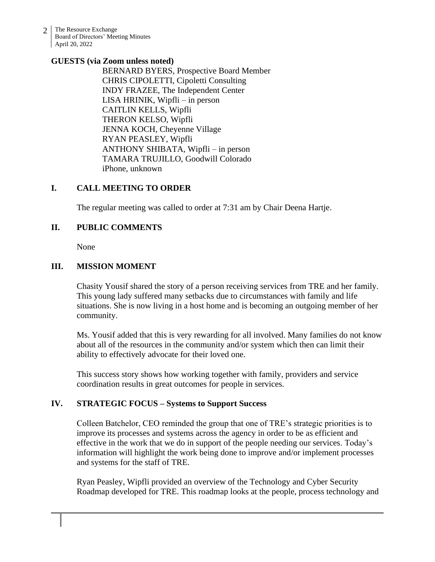2 The Resource Exchange Board of Directors' Meeting Minutes April 20, 2022

#### **GUESTS (via Zoom unless noted)**

BERNARD BYERS, Prospective Board Member CHRIS CIPOLETTI, Cipoletti Consulting INDY FRAZEE, The Independent Center LISA HRINIK, Wipfli – in person CAITLIN KELLS, Wipfli THERON KELSO, Wipfli JENNA KOCH, Cheyenne Village RYAN PEASLEY, Wipfli ANTHONY SHIBATA, Wipfli – in person TAMARA TRUJILLO, Goodwill Colorado iPhone, unknown

## **I. CALL MEETING TO ORDER**

The regular meeting was called to order at 7:31 am by Chair Deena Hartje.

## **II. PUBLIC COMMENTS**

None

## **III. MISSION MOMENT**

Chasity Yousif shared the story of a person receiving services from TRE and her family. This young lady suffered many setbacks due to circumstances with family and life situations. She is now living in a host home and is becoming an outgoing member of her community.

Ms. Yousif added that this is very rewarding for all involved. Many families do not know about all of the resources in the community and/or system which then can limit their ability to effectively advocate for their loved one.

This success story shows how working together with family, providers and service coordination results in great outcomes for people in services.

## **IV. STRATEGIC FOCUS – Systems to Support Success**

Colleen Batchelor, CEO reminded the group that one of TRE's strategic priorities is to improve its processes and systems across the agency in order to be as efficient and effective in the work that we do in support of the people needing our services. Today's information will highlight the work being done to improve and/or implement processes and systems for the staff of TRE.

Ryan Peasley, Wipfli provided an overview of the Technology and Cyber Security Roadmap developed for TRE. This roadmap looks at the people, process technology and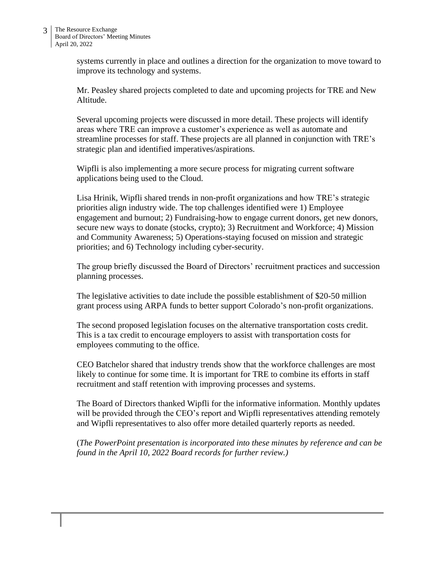systems currently in place and outlines a direction for the organization to move toward to improve its technology and systems.

Mr. Peasley shared projects completed to date and upcoming projects for TRE and New Altitude.

Several upcoming projects were discussed in more detail. These projects will identify areas where TRE can improve a customer's experience as well as automate and streamline processes for staff. These projects are all planned in conjunction with TRE's strategic plan and identified imperatives/aspirations.

Wipfli is also implementing a more secure process for migrating current software applications being used to the Cloud.

Lisa Hrinik, Wipfli shared trends in non-profit organizations and how TRE's strategic priorities align industry wide. The top challenges identified were 1) Employee engagement and burnout; 2) Fundraising-how to engage current donors, get new donors, secure new ways to donate (stocks, crypto); 3) Recruitment and Workforce; 4) Mission and Community Awareness; 5) Operations-staying focused on mission and strategic priorities; and 6) Technology including cyber-security.

The group briefly discussed the Board of Directors' recruitment practices and succession planning processes.

The legislative activities to date include the possible establishment of \$20-50 million grant process using ARPA funds to better support Colorado's non-profit organizations.

The second proposed legislation focuses on the alternative transportation costs credit. This is a tax credit to encourage employers to assist with transportation costs for employees commuting to the office.

CEO Batchelor shared that industry trends show that the workforce challenges are most likely to continue for some time. It is important for TRE to combine its efforts in staff recruitment and staff retention with improving processes and systems.

The Board of Directors thanked Wipfli for the informative information. Monthly updates will be provided through the CEO's report and Wipfli representatives attending remotely and Wipfli representatives to also offer more detailed quarterly reports as needed.

(*The PowerPoint presentation is incorporated into these minutes by reference and can be found in the April 10, 2022 Board records for further review.)*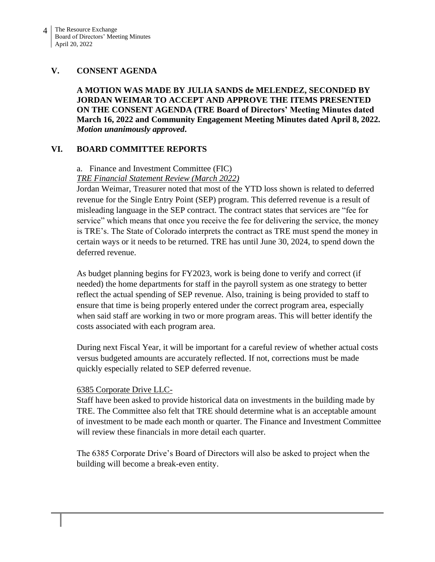## **V. CONSENT AGENDA**

**A MOTION WAS MADE BY JULIA SANDS de MELENDEZ, SECONDED BY JORDAN WEIMAR TO ACCEPT AND APPROVE THE ITEMS PRESENTED ON THE CONSENT AGENDA (TRE Board of Directors' Meeting Minutes dated March 16, 2022 and Community Engagement Meeting Minutes dated April 8, 2022.** *Motion unanimously approved***.**

## **VI. BOARD COMMITTEE REPORTS**

# a. Finance and Investment Committee (FIC)

*TRE Financial Statement Review (March 2022)*

Jordan Weimar, Treasurer noted that most of the YTD loss shown is related to deferred revenue for the Single Entry Point (SEP) program. This deferred revenue is a result of misleading language in the SEP contract. The contract states that services are "fee for service" which means that once you receive the fee for delivering the service, the money is TRE's. The State of Colorado interprets the contract as TRE must spend the money in certain ways or it needs to be returned. TRE has until June 30, 2024, to spend down the deferred revenue.

As budget planning begins for FY2023, work is being done to verify and correct (if needed) the home departments for staff in the payroll system as one strategy to better reflect the actual spending of SEP revenue. Also, training is being provided to staff to ensure that time is being properly entered under the correct program area, especially when said staff are working in two or more program areas. This will better identify the costs associated with each program area.

During next Fiscal Year, it will be important for a careful review of whether actual costs versus budgeted amounts are accurately reflected. If not, corrections must be made quickly especially related to SEP deferred revenue.

## 6385 Corporate Drive LLC-

Staff have been asked to provide historical data on investments in the building made by TRE. The Committee also felt that TRE should determine what is an acceptable amount of investment to be made each month or quarter. The Finance and Investment Committee will review these financials in more detail each quarter.

The 6385 Corporate Drive's Board of Directors will also be asked to project when the building will become a break-even entity.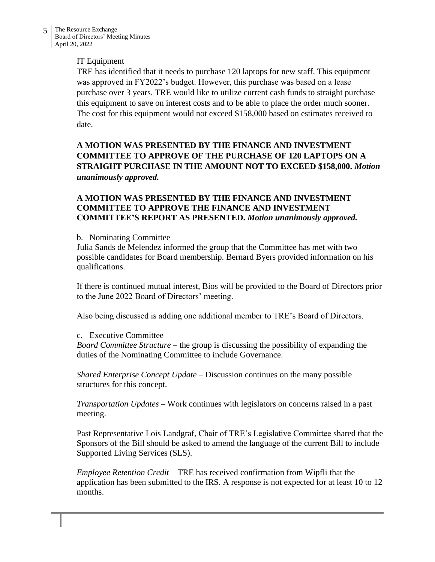## IT Equipment

TRE has identified that it needs to purchase 120 laptops for new staff. This equipment was approved in FY2022's budget. However, this purchase was based on a lease purchase over 3 years. TRE would like to utilize current cash funds to straight purchase this equipment to save on interest costs and to be able to place the order much sooner. The cost for this equipment would not exceed \$158,000 based on estimates received to date.

# **A MOTION WAS PRESENTED BY THE FINANCE AND INVESTMENT COMMITTEE TO APPROVE OF THE PURCHASE OF 120 LAPTOPS ON A STRAIGHT PURCHASE IN THE AMOUNT NOT TO EXCEED \$158,000.** *Motion unanimously approved.*

## **A MOTION WAS PRESENTED BY THE FINANCE AND INVESTMENT COMMITTEE TO APPROVE THE FINANCE AND INVESTMENT COMMITTEE'S REPORT AS PRESENTED.** *Motion unanimously approved.*

## b. Nominating Committee

Julia Sands de Melendez informed the group that the Committee has met with two possible candidates for Board membership. Bernard Byers provided information on his qualifications.

If there is continued mutual interest, Bios will be provided to the Board of Directors prior to the June 2022 Board of Directors' meeting.

Also being discussed is adding one additional member to TRE's Board of Directors.

## c. Executive Committee

*Board Committee Structure* – the group is discussing the possibility of expanding the duties of the Nominating Committee to include Governance.

*Shared Enterprise Concept Update* – Discussion continues on the many possible structures for this concept.

*Transportation Updates* – Work continues with legislators on concerns raised in a past meeting.

Past Representative Lois Landgraf, Chair of TRE's Legislative Committee shared that the Sponsors of the Bill should be asked to amend the language of the current Bill to include Supported Living Services (SLS).

*Employee Retention Credit* – TRE has received confirmation from Wipfli that the application has been submitted to the IRS. A response is not expected for at least 10 to 12 months.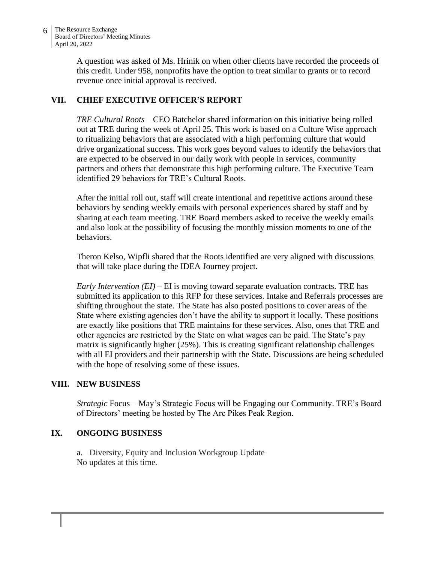A question was asked of Ms. Hrinik on when other clients have recorded the proceeds of this credit. Under 958, nonprofits have the option to treat similar to grants or to record revenue once initial approval is received.

# **VII. CHIEF EXECUTIVE OFFICER'S REPORT**

*TRE Cultural Roots* – CEO Batchelor shared information on this initiative being rolled out at TRE during the week of April 25. This work is based on a Culture Wise approach to ritualizing behaviors that are associated with a high performing culture that would drive organizational success. This work goes beyond values to identify the behaviors that are expected to be observed in our daily work with people in services, community partners and others that demonstrate this high performing culture. The Executive Team identified 29 behaviors for TRE's Cultural Roots.

After the initial roll out, staff will create intentional and repetitive actions around these behaviors by sending weekly emails with personal experiences shared by staff and by sharing at each team meeting. TRE Board members asked to receive the weekly emails and also look at the possibility of focusing the monthly mission moments to one of the behaviors.

Theron Kelso, Wipfli shared that the Roots identified are very aligned with discussions that will take place during the IDEA Journey project.

*Early Intervention (EI)* – EI is moving toward separate evaluation contracts. TRE has submitted its application to this RFP for these services. Intake and Referrals processes are shifting throughout the state. The State has also posted positions to cover areas of the State where existing agencies don't have the ability to support it locally. These positions are exactly like positions that TRE maintains for these services. Also, ones that TRE and other agencies are restricted by the State on what wages can be paid. The State's pay matrix is significantly higher (25%). This is creating significant relationship challenges with all EI providers and their partnership with the State. Discussions are being scheduled with the hope of resolving some of these issues.

## **VIII. NEW BUSINESS**

*Strategic* Focus – May's Strategic Focus will be Engaging our Community. TRE's Board of Directors' meeting be hosted by The Arc Pikes Peak Region.

## **IX. ONGOING BUSINESS**

a. Diversity, Equity and Inclusion Workgroup Update No updates at this time.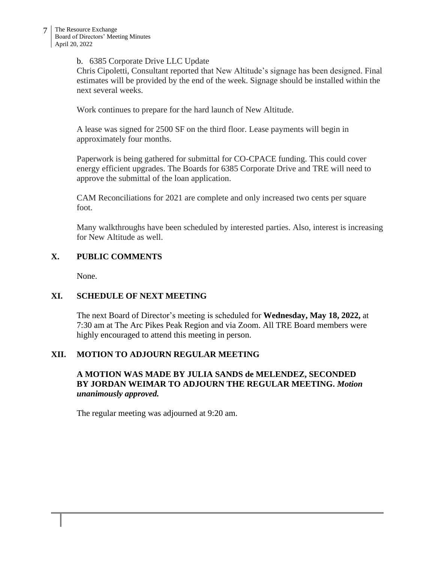#### b. 6385 Corporate Drive LLC Update

Chris Cipoletti, Consultant reported that New Altitude's signage has been designed. Final estimates will be provided by the end of the week. Signage should be installed within the next several weeks.

Work continues to prepare for the hard launch of New Altitude.

A lease was signed for 2500 SF on the third floor. Lease payments will begin in approximately four months.

Paperwork is being gathered for submittal for CO-CPACE funding. This could cover energy efficient upgrades. The Boards for 6385 Corporate Drive and TRE will need to approve the submittal of the loan application.

CAM Reconciliations for 2021 are complete and only increased two cents per square foot.

Many walkthroughs have been scheduled by interested parties. Also, interest is increasing for New Altitude as well.

## **X. PUBLIC COMMENTS**

None.

## **XI. SCHEDULE OF NEXT MEETING**

The next Board of Director's meeting is scheduled for **Wednesday, May 18, 2022,** at 7:30 am at The Arc Pikes Peak Region and via Zoom. All TRE Board members were highly encouraged to attend this meeting in person.

## **XII. MOTION TO ADJOURN REGULAR MEETING**

## **A MOTION WAS MADE BY JULIA SANDS de MELENDEZ, SECONDED BY JORDAN WEIMAR TO ADJOURN THE REGULAR MEETING.** *Motion unanimously approved.*

The regular meeting was adjourned at 9:20 am.